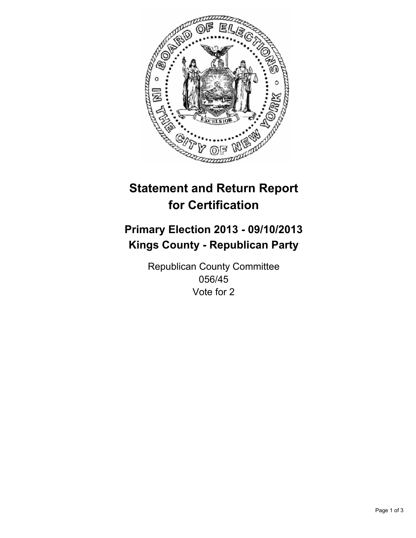

# **Statement and Return Report for Certification**

# **Primary Election 2013 - 09/10/2013 Kings County - Republican Party**

Republican County Committee 056/45 Vote for 2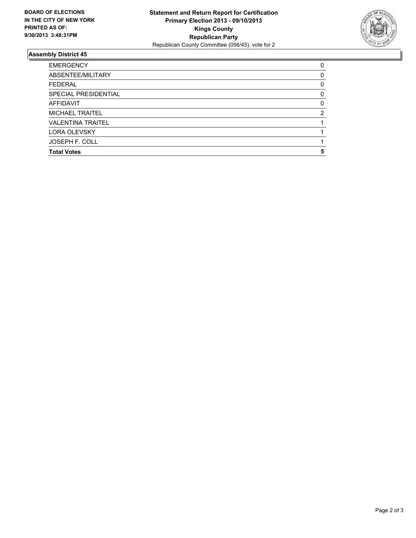

## **Assembly District 45**

| <b>Total Votes</b>       | 5        |
|--------------------------|----------|
| <b>JOSEPH F. COLL</b>    |          |
| <b>LORA OLEVSKY</b>      |          |
| <b>VALENTINA TRAITEL</b> |          |
| <b>MICHAEL TRAITEL</b>   | 2        |
| <b>AFFIDAVIT</b>         | $\Omega$ |
| SPECIAL PRESIDENTIAL     | 0        |
| <b>FEDERAL</b>           | 0        |
| ABSENTEE/MILITARY        | 0        |
| <b>EMERGENCY</b>         | 0        |